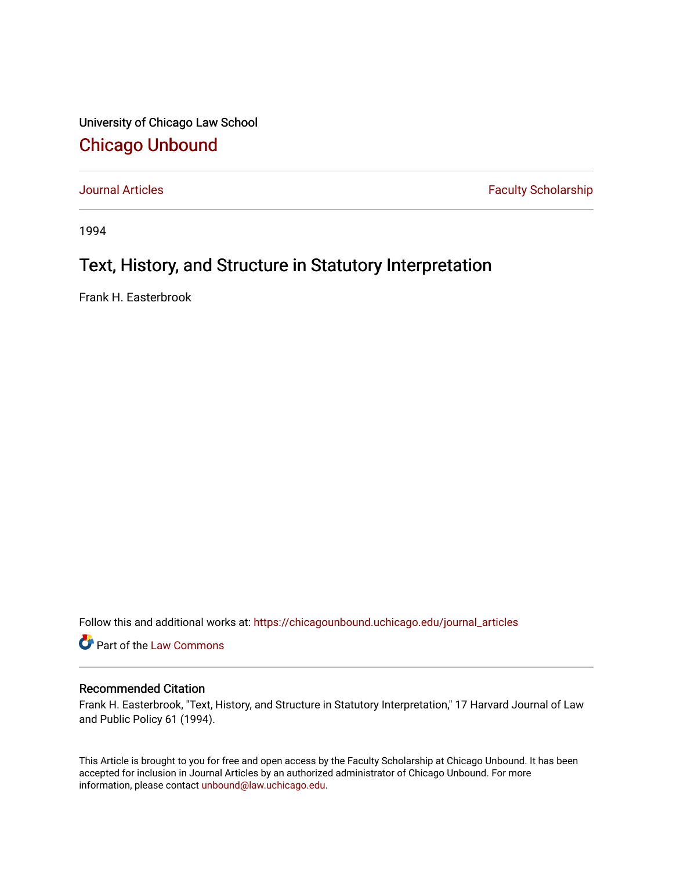University of Chicago Law School [Chicago Unbound](https://chicagounbound.uchicago.edu/)

[Journal Articles](https://chicagounbound.uchicago.edu/journal_articles) **Faculty Scholarship Faculty Scholarship** 

1994

## Text, History, and Structure in Statutory Interpretation

Frank H. Easterbrook

Follow this and additional works at: [https://chicagounbound.uchicago.edu/journal\\_articles](https://chicagounbound.uchicago.edu/journal_articles?utm_source=chicagounbound.uchicago.edu%2Fjournal_articles%2F1170&utm_medium=PDF&utm_campaign=PDFCoverPages) 

Part of the [Law Commons](http://network.bepress.com/hgg/discipline/578?utm_source=chicagounbound.uchicago.edu%2Fjournal_articles%2F1170&utm_medium=PDF&utm_campaign=PDFCoverPages)

## Recommended Citation

Frank H. Easterbrook, "Text, History, and Structure in Statutory Interpretation," 17 Harvard Journal of Law and Public Policy 61 (1994).

This Article is brought to you for free and open access by the Faculty Scholarship at Chicago Unbound. It has been accepted for inclusion in Journal Articles by an authorized administrator of Chicago Unbound. For more information, please contact [unbound@law.uchicago.edu](mailto:unbound@law.uchicago.edu).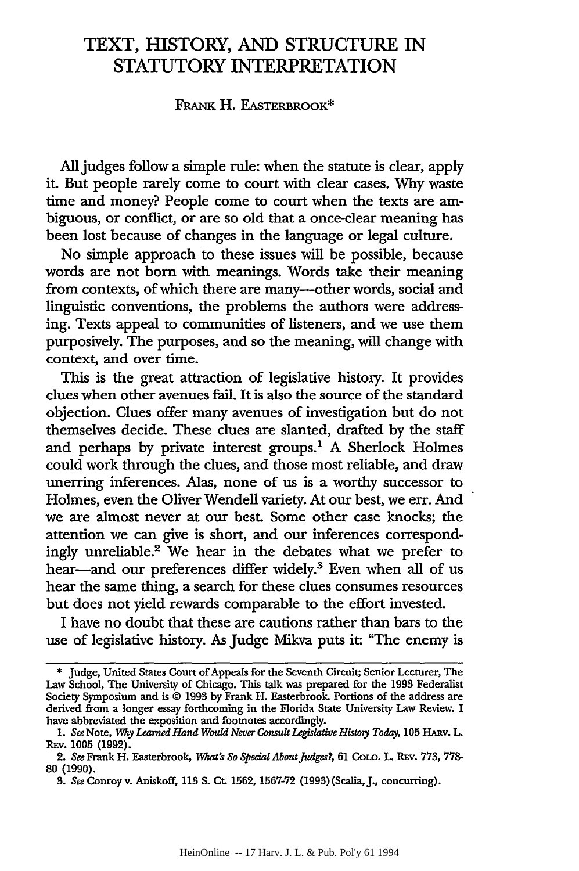## TEXT, HISTORY, **AND STRUCTURE** IN STATUTORY INTERPRETATION

## FRANK H. EASTERBROOK\*

All judges follow a simple rule: when the statute is clear, apply it. But people rarely come to court with clear cases. Why waste time and money? People come to court when the texts are ambiguous, or conflict, or are so old that a once-clear meaning has been lost because of changes in the language or legal culture.

No simple approach to these issues will be possible, because words are not born with meanings. Words take their meaning from contexts, of which there are many---other words, social and linguistic conventions, the problems the authors were addressing. Texts appeal to communities of listeners, and we use them purposively. The purposes, and so the meaning, will change with context, and over time.

This is the great attraction of legislative history. It provides clues when other avenues fail. It is also the source of the standard objection. Clues offer many avenues of investigation but do not themselves decide. These clues are slanted, drafted by the staff and perhaps by private interest groups.' A Sherlock Holmes could work through the clues, and those most reliable, and draw unerring inferences. Alas, none of us is a worthy successor to Holmes, even the Oliver Wendell variety. At our best, we err. And we are almost never at our best. Some other case knocks; the attention we can give is short, and our inferences correspondingly unreliable.' We hear in the debates what we prefer to hear-and our preferences differ widely.<sup>3</sup> Even when all of us hear the same thing, a search for these clues consumes resources but does not yield rewards comparable to the effort invested.

I have no doubt that these are cautions rather than bars to the use of legislative history. As Judge Mikva puts **it:** "The enemy is

**<sup>\*</sup>** Judge, United States Court of Appeals for the Seventh Circuit; Senior Lecturer, The Law School, The University of Chicago. This talk was prepared for the 1993 Federalist Society Symposium and is © 1993 by Frank H. Easterbrook. Portions of the address are derived from a longer essay forthcoming in the Florida State University Law Review. I have abbreviated the exposition and footnotes accordingly.

**<sup>1.</sup>** *See* Note, *Wy Learned Hand Would Never Consult Legislative History Today,* **105 HARv. L.** REv. 1005 (1992).

<sup>2.</sup> *See* Frank H. Easterbrook, *lWut's So Special AboutJudges?,* **61 CoLo. L. RE,. 773, 778-** 80 **(1990).**

**<sup>3.</sup>** *See* Conroy v. Aniskoff, **113 S.** Ct. **1562, 1567-72** (1993) (Scalia, **J.,** concurring).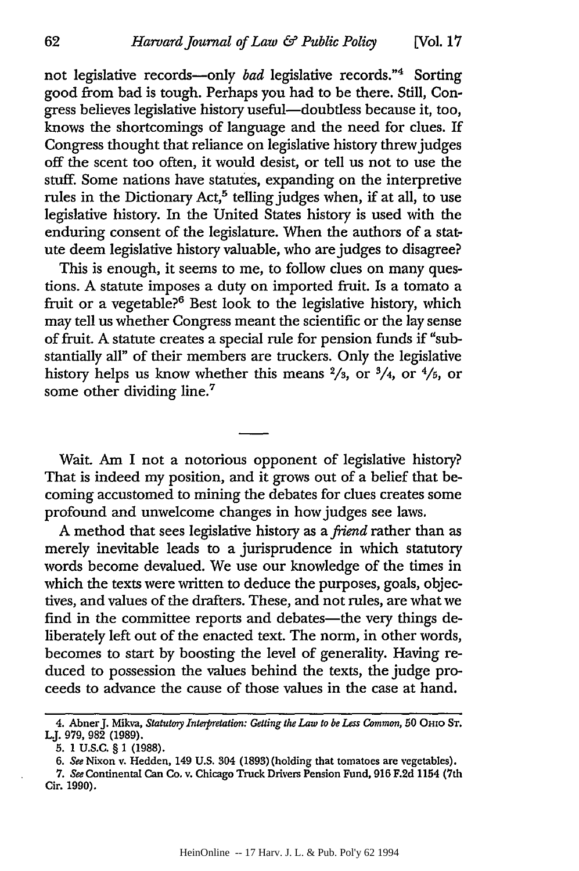not legislative records-only *bad* legislative records."4 Sorting good from bad is tough. Perhaps you had to be there. Still, Congress believes legislative history useful-doubtless because it, too, knows the shortcomings of language and the need for clues. If Congress thought that reliance on legislative history threw judges off the scent too often, it would desist, or tell us not to use the stuff. Some nations have statutes, expanding on the interpretive rules in the Dictionary Act, $5$  telling judges when, if at all, to use legislative history. In the United States history is used with the enduring consent of the legislature. When the authors of a statute deem legislative history valuable, who are judges to disagree?

This is enough, it seems to me, to follow clues on many questions. A statute imposes a duty on imported fruit. Is a tomato a fruit or a vegetable?<sup>6</sup> Best look to the legislative history, which may tell us whether Congress meant the scientific or the lay sense of fruit. A statute creates a special rule for pension funds if "substantially all" of their members are truckers. Only the legislative history helps us know whether this means **2/3,** or 3/4, or 4/5, or some other dividing line.<sup>7</sup>

Wait. Am I not a notorious opponent of legislative history? That is indeed my position, and it grows out of a belief that becoming accustomed to mining the debates for clues creates some profound and unwelcome changes in how judges see laws.

A method that sees legislative history as a *friend* rather than as merely inevitable leads to a jurisprudence in which statutory words become devalued. We use our knowledge of the times in which the texts were written to deduce the purposes, goals, objectives, and values of the drafters. These, and not rules, are what we find in the committee reports and debates-the very things deliberately left out of the enacted text. The norm, in other words, becomes to start by boosting the level of generality. Having reduced to possession the values behind the texts, the judge proceeds to advance the cause of those values in the case at hand.

**<sup>4.</sup>** AbnerJ. Mikva, *Statutory Interpretation: Getting the Law to be Less Common,* **50** OHO **ST. LJ. 979, 982 (1989).**

**<sup>5. 1</sup> U.S.C. § 1 (1988).**

*<sup>6.</sup> See* Nixon v. Hedden, 149 **U.S.** 304 **(1893)** (holding that tomatoes are vegetables).

*<sup>7.</sup> See* Continental Can Co. v. Chicago Truck Drivers Pension Fund, **916 F.2d** 1154 (7th Cir. **1990).**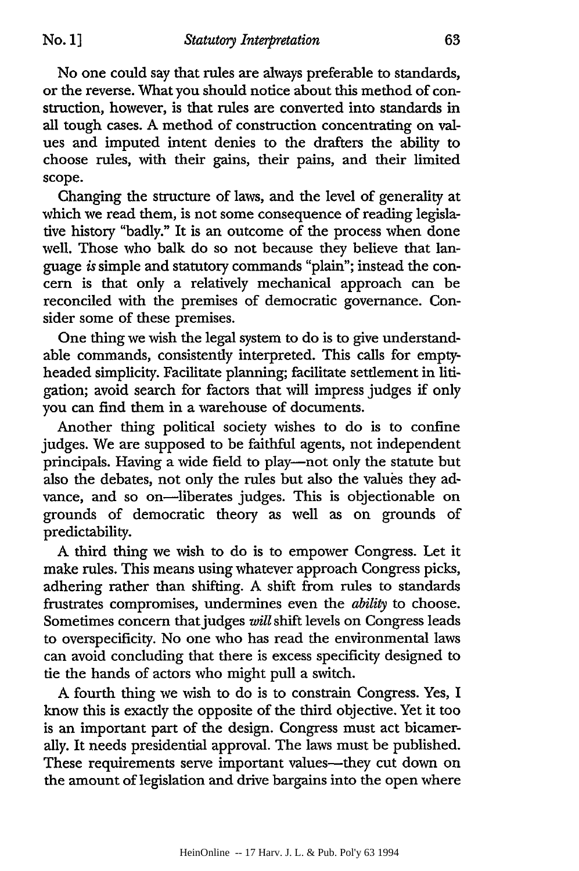**No. 1]**

No one could say that rules are always preferable to standards, or the reverse. What you should notice about this method of construction, however, is that rules are converted into standards in all tough cases. **A** method of construction concentrating on values and imputed intent denies to the drafters the ability to choose rules, with their gains, their pains, and their limited scope.

Changing the structure of laws, and the level of generality at which we read them, is not some consequence of reading legislative history "badly." It is an outcome of the process when done well. Those who balk do so not because they believe that language *is* simple and statutory commands "plain"; instead the con**cern** is that only a relatively mechanical approach can be reconciled with the premises of democratic governance. Consider some of these premises.

One thing we wish the legal system to do is to give understandable commands, consistently interpreted. This calls for emptyheaded simplicity. Facilitate planning; facilitate settlement in litigation; avoid search for factors that will impress judges if only you can find them in a warehouse of documents.

Another thing political society wishes to do is to confine judges. We are supposed to be faithful agents, not independent principals. Having a wide field to play-not only the statute but also the debates, not only the rules but also the values they advance, and so on-liberates judges. This is objectionable on grounds of democratic theory as well as on grounds of predictability.

**A** third thing we wish to do is to empower Congress. Let it make rules. This means using whatever approach Congress picks, adhering rather than shifting. **A** shift from rules to standards frustrates compromises, undermines even the *ability* to choose. Sometimes concern that judges *will* shift levels on Congress leads to overspecificity. No one who has read the environmental laws can avoid concluding that there is excess specificity designed to **tie** the hands of actors who might pull a switch.

**A** fourth thing we wish to do is to constrain Congress. Yes, **I** know this is exactly the opposite of the third objective. Yet it too is an important part of the design. Congress must act bicamerally. It needs presidential approval. The laws must be published. These requirements serve important values-they cut down on the amount of legislation and drive bargains into the open where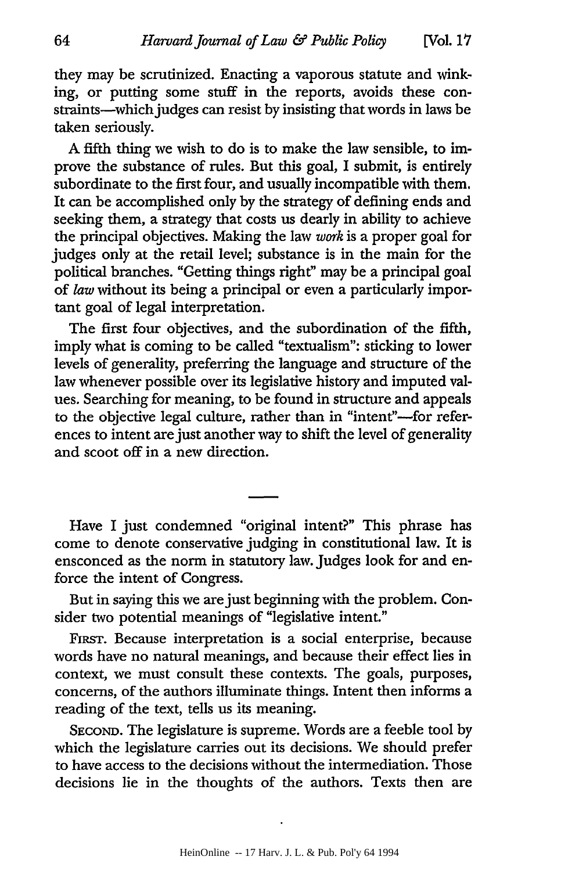they may be scrutinized. Enacting a vaporous statute and winking, or putting some stuff in the reports, avoids these constraints-which judges can resist by insisting that words in laws be taken seriously.

A fifth thing we wish to do is to make the law sensible, to improve the substance of rules. But this goal, I submit, is entirely subordinate to the first four, and usually incompatible with them. It can be accomplished only by the strategy of defining ends and seeking them, a strategy that costs us dearly in ability to achieve the principal objectives. Making the law *work* is a proper goal for judges only at the retail level; substance is in the main for the political branches. "Getting things right" may be a principal goal of *law* without its being a principal or even a particularly important goal of legal interpretation.

The first four objectives, and the subordination of the fifth, imply what is coming to be called "textualism": sticking to lower levels of generality, preferring the language and structure of the law whenever possible over its legislative history and imputed values. Searching for meaning, to be found in structure and appeals to the objective legal culture, rather than in "intent"-for references to intent are just another way to shift the level of generality and scoot off in a new direction.

Have I just condemned "original intent?" This phrase has come to denote conservative judging in constitutional law. It is ensconced as the norm in statutory law. Judges look for and enforce the intent of Congress.

But in saying this we are just beginning with the problem. Consider two potential meanings of "legislative intent."

FIRsT. Because interpretation is a social enterprise, because words have no natural meanings, and because their effect lies in context, we must consult these contexts. The goals, purposes, concerns, of the authors illuminate things. Intent then informs a reading of the text, tells us its meaning.

**SECOND.** The legislature is supreme. Words are a feeble tool by which the legislature carries out its decisions. We should prefer to have access to the decisions without the intermediation. Those decisions lie in the thoughts of the authors. Texts then are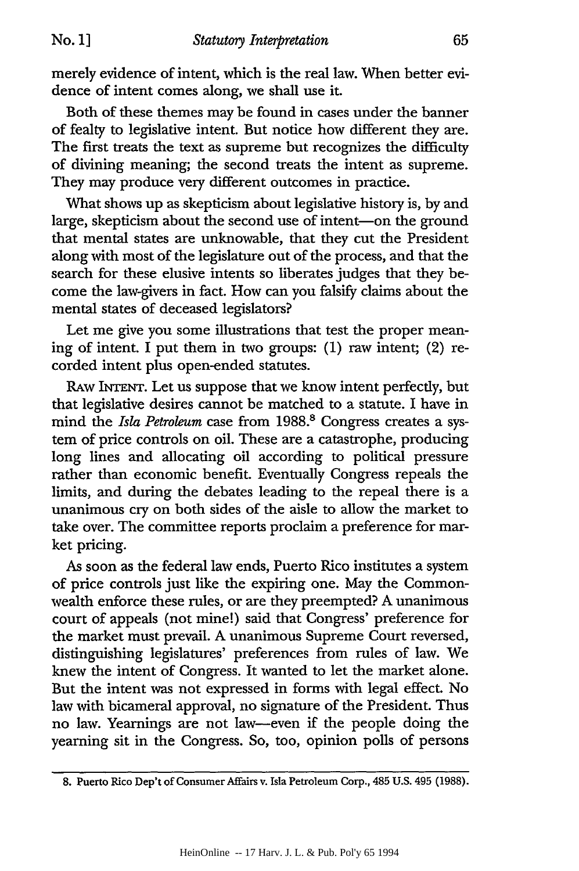No. **1]**

merely evidence of intent, which is the real law. When better evidence of intent comes along, we shall use it.

Both of these themes may be found in cases under the banner of fealty to legislative intent. But notice how different they are. The first treats the text as supreme but recognizes the difficulty of divining meaning; the second treats the intent as supreme. They may produce very different outcomes in practice.

What shows up as skepticism about legislative history is, by and large, skepticism about the second use of intent-on the ground that mental states are unknowable, that they cut the President along with most of the legislature out of the process, and that the search for these elusive intents so liberates judges that they become the law-givers in fact. How can you falsify claims about the mental states of deceased legislators?

Let me give you some illustrations that test the proper meaning of intent. I put them in two groups: (1) raw intent; (2) recorded intent plus open-ended statutes.

RAW INTENT. Let us suppose that we know intent perfectly, but that legislative desires cannot be matched to a statute. I have in mind the *Isla Petroleum* case from 1988.<sup>8</sup> Congress creates a system of price controls on oil. These are a catastrophe, producing long lines and allocating oil according to political pressure rather than economic benefit. Eventually Congress repeals the limits, and during the debates leading to the repeal there is a unanimous cry on both sides of the aisle to allow the market to take over. The committee reports proclaim a preference for market pricing.

As soon as the federal law ends, Puerto Rico institutes a system of price controls just like the expiring one. May the Commonwealth enforce these rules, or are they preempted? A unanimous court of appeals (not mine!) said that Congress' preference for the market must prevail. A unanimous Supreme Court reversed, distinguishing legislatures' preferences from rules of law. We knew the intent of Congress. It wanted to let the market alone. But the intent was not expressed in forms with legal effect. No law with bicameral approval, no signature of the President. Thus no law. Yearnings are not law-even if the people doing the yearning sit in the Congress. So, too, opinion polls of persons

<sup>8.</sup> Puerto Rico Dep't of Consumer Affairs v. Isla Petroleum Corp., 485 U.S. 495 (1988).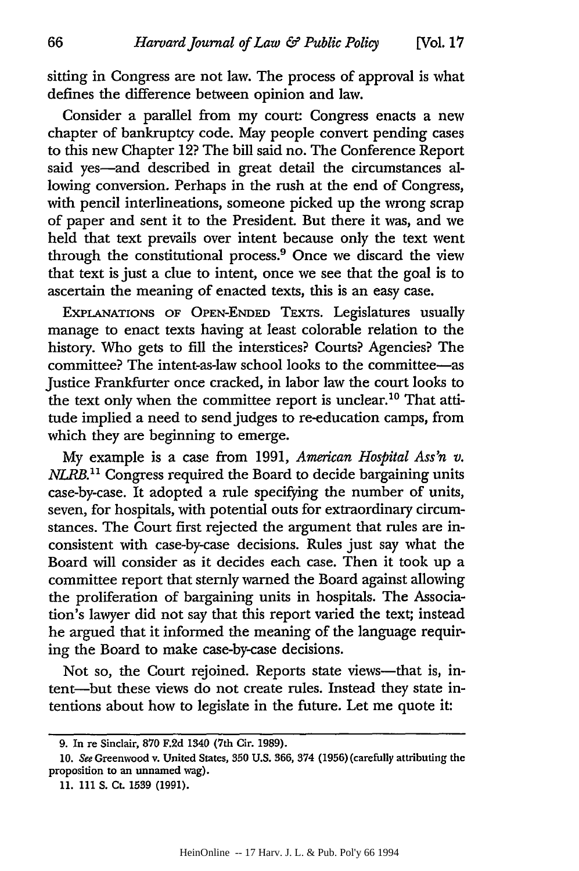sitting in Congress are not law. The process of approval is what defines the difference between opinion and law.

Consider a parallel from my court: Congress enacts a new chapter of bankruptcy code. May people convert pending cases to this new Chapter 12? The bill said no. The Conference Report said yes—and described in great detail the circumstances allowing conversion. Perhaps in the rush at the end of Congress, with pencil interlineations, someone picked up the wrong scrap of paper and sent it to the President. But there it was, and we held that text prevails over intent because only the text went through the constitutional process.<sup>9</sup> Once we discard the view that text is just a clue to intent, once we see that the goal is to ascertain the meaning of enacted texts, this is an easy case.

EXPLANATIONS OF OPEN-ENDED TEXTS. Legislatures usually manage to enact texts having at least colorable relation to the history. Who gets to fill the interstices? Courts? Agencies? The committee? The intent-as-law school looks to the committee-as Justice Frankfurter once cracked, in labor law the court looks to the text only when the committee report is unclear.<sup>10</sup> That attitude implied a need to send judges to re-education camps, from which they are beginning to emerge.

My example is a case from 1991, *American Hospital Ass'n v. NLRB.1'* Congress required the Board to decide bargaining units case-by-case. It adopted a rule specifying the number of units, seven, for hospitals, with potential outs for extraordinary circumstances. The Court first rejected the argument that rules are inconsistent with case-by-case decisions. Rules just say what the Board will consider as it decides each case. Then it took up a committee report that sternly warned the Board against allowing the proliferation of bargaining units in hospitals. The Association's lawyer did not say that this report varied the text; instead he argued that it informed the meaning of the language requiring the Board to make case-by-case decisions.

Not so, the Court rejoined. Reports state views—that is, intent-but these views do not create rules. Instead they state intentions about how to legislate in the future. Let me quote it:

**<sup>9.</sup>** In re Sinclair, **870** F.2d 1340 (7th Cir. 1989).

**<sup>10.</sup>** See Greenwood v. United States, 350 **U.S.** 366, 374 (1956) (carefully attributing the proposition to an unnamed wag).

<sup>11. 111</sup> S. **Ct.** 1539 (1991).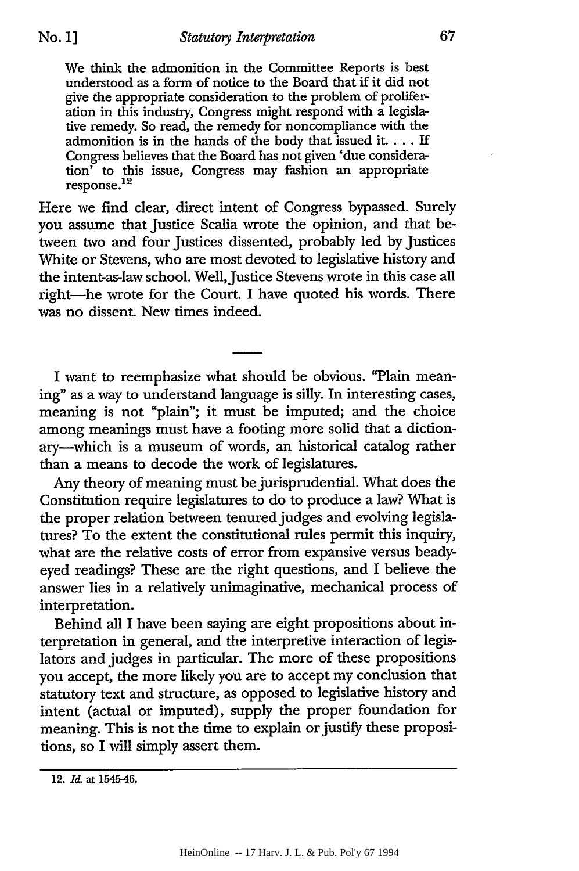We think the admonition in the Committee Reports is best understood as a form of notice to the Board that if it did not give the appropriate consideration to the problem of proliferation in this industry, Congress might respond with a legislative remedy. So read, the remedy for noncompliance with the admonition is in the hands of the body that issued it.... If Congress believes that the Board has not given 'due consideration' to this issue, Congress may fashion an appropriate non to u

Here we find clear, direct intent of Congress bypassed. Surely you assume that Justice Scalia wrote the opinion, and that between two and four Justices dissented, probably led by Justices White or Stevens, who are most devoted to legislative history and the intent-as-law school. Well, Justice Stevens wrote in this case all right-he wrote for the Court. I have quoted his words. There was no dissent. New times indeed.

I want to reemphasize what should be obvious. "Plain meaning" as a way to understand language is silly. In interesting cases, meaning is not "plain"; it must be imputed; and the choice among meanings must have a footing more solid that a dictionary-which is a museum of words, an historical catalog rather than a means to decode the work of legislatures.

Any theory of meaning must be jurisprudential. What does the Constitution require legislatures to do to produce a law? What is the proper relation between tenured judges and evolving legislatures? To the extent the constitutional rules permit this inquiry, what are the relative costs of error from expansive versus beadyeyed readings? These are the right questions, and I believe the answer lies in a relatively unimaginative, mechanical process of interpretation.

Behind all I have been saying are eight propositions about interpretation in general, and the interpretive interaction of legislators and judges in particular. The more of these propositions you accept, the more likely you are to accept my conclusion that statutory text and structure, as opposed to legislative history and intent (actual or imputed), supply the proper foundation for meaning. This is not the time to explain or justify these propositions, so I will simply assert them.

<sup>12.</sup> *Id.* at 1545-46.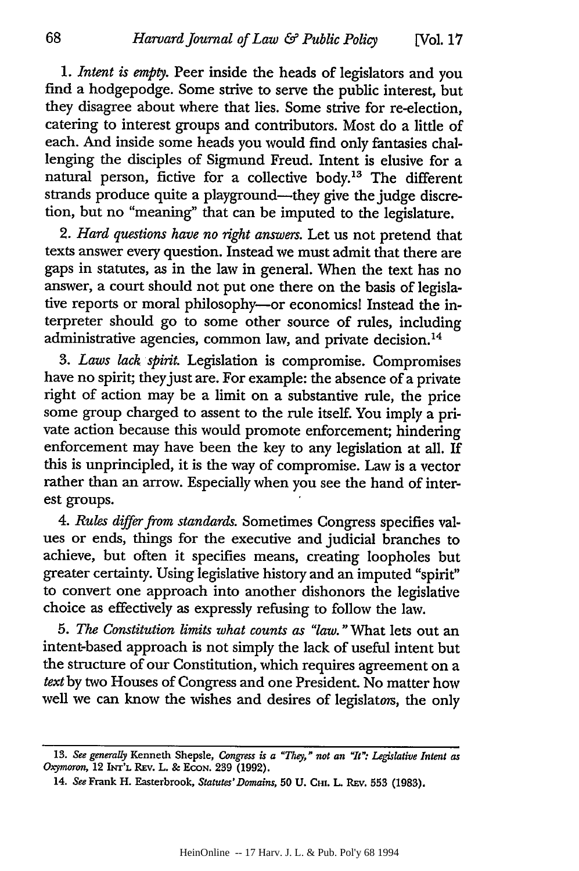*1. Intent is empty.* Peer inside the heads of legislators and you find a hodgepodge. Some strive to serve the public interest, but they disagree about where that lies. Some strive for re-election, catering to interest groups and contributors. Most do a little of each. And inside some heads you would find only fantasies challenging the disciples of Sigmund Freud. Intent is elusive for a natural person, fictive for a collective body.<sup>13</sup> The different strands produce quite a playground-they give the judge discretion, but no "meaning" that can be imputed to the legislature.

2. *Hard questions have no right answers.* Let us not pretend that texts answer every question. Instead we must admit that there are gaps in statutes, as in the law in general. When the text has no answer, a court should not put one there on the basis of legislative reports or moral philosophy-or economics! Instead the interpreter should go to some other source of rules, including administrative agencies, common law, and private decision.<sup>14</sup>

*3. Laws lack spirit.* Legislation is compromise. Compromises have no spirit; they just are. For example: the absence of a private right of action may be a limit on a substantive rule, the price some group charged to assent to the rule itself. You imply a private action because this would promote enforcement; hindering enforcement may have been the key to any legislation at all. If this is unprincipled, it is the way of compromise. Law is a vector rather than an arrow. Especially when you see the hand of interest groups.

*4. Rules differ from standards.* Sometimes Congress specifies values or ends, things for the executive and judicial branches to achieve, but often it specifies means, creating loopholes but greater certainty. Using legislative history and an imputed "spirit" to convert one approach into another dishonors the legislative choice as effectively as expressly refusing to follow the law.

*5. The Constitution limits what counts as "law."What* lets out an intent-based approach is not simply the lack of useful intent but the structure of our Constitution, which requires agreement on a *text* by two Houses of Congress and one President. No matter how well we can know the wishes and desires of legislators, the only

**<sup>13.</sup>** *See generally* Kenneth Shepsle, *Congress is a "They," not an "It": Legislative Intent as Oxymoron,* 12 **INT'L** REV. L. & EcoN. 239 (1992).

<sup>14.</sup> *See* Frank H. Easterbrook, *Statutes' Domains*, 50 U. CHI. L. REV. 553 (1983).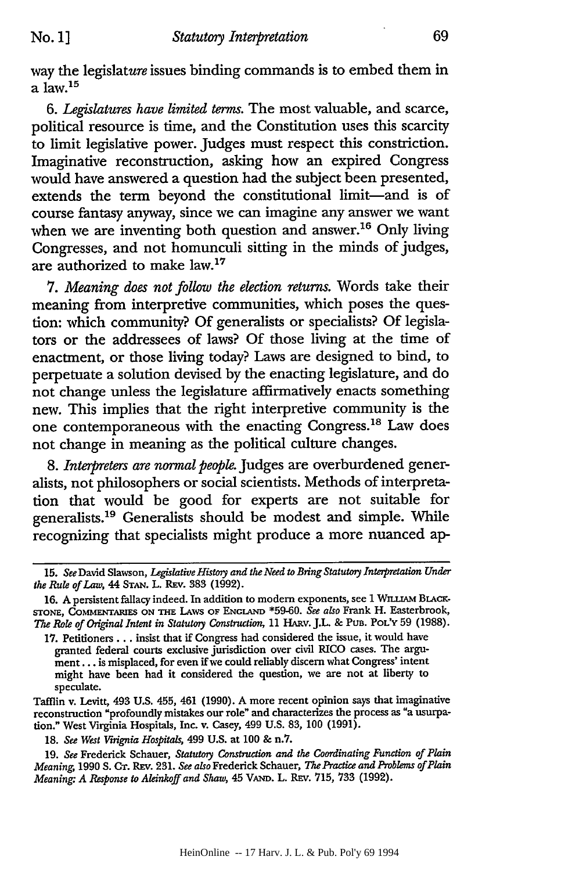way the legislature issues binding commands is to embed them in a law.<sup>15</sup>

*6. Legislatures have limited terms.* The most valuable, and scarce, political resource is time, and the Constitution uses this scarcity to limit legislative power. Judges must respect this constriction. Imaginative reconstruction, asking how an expired Congress would have answered a question had the subject been presented, extends the term beyond the constitutional limit—and is of course fantasy anyway, since we can imagine any answer we want when we are inventing both question and answer.<sup>16</sup> Only living Congresses, and not homunculi sitting in the minds of judges, are authorized to make law.<sup>17</sup>

*7. Meaning does not follow the election returns.* Words take their meaning from interpretive communities, which poses the question: which community? Of generalists or specialists? Of legislators or the addressees of laws? Of those living at the time of enactment, or those living today? Laws are designed to bind, to perpetuate a solution devised by the enacting legislature, and do not change unless the legislature affirmatively enacts something new. This implies that the right interpretive community is the one contemporaneous with the enacting Congress.<sup>18</sup> Law does not change in meaning as the political culture changes.

*8. Interpreters are normal people.* Judges are overburdened generalists, not philosophers or social scientists. Methods of interpretation that would be good for experts are not suitable for generalists.<sup>19</sup> Generalists should be modest and simple. While recognizing that specialists might produce a more nuanced ap-

**18.** *See West Virignia Hospitals,* 499 **U.S.** at **100** & n.7.

19. *See* Frederick Schauer, *Statutory Construction and the Coordinating Function of Plain Meaning,* 1990 S. **CT.** Ray. 231. *See also* Frederick Schauer, *The Practice and Problems of Plain Meaning. A Response to Aleinkoff and Shaw,* 45 **VAND.** L. **REv.** 715, 733 (1992).

*<sup>15.</sup> See* David Slawson, *Legislative History and the Need to Bring Statutory Interpretation Under the Rule of Law, 44* **STAN.** L. REv. 383 (1992).

<sup>16.</sup> A persistent fallacy indeed. In addition to modern exponents, see 1 WILLIAM BLACK-**STONE, COMMENTARIES ON THE LAWS OF ENGLAND** \*59-60. *See also* Frank H. Easterbrook, *The Role of Original Intent in Statutory Construction,* 11 HARv. J.L. & PuB. POL'Y 59 (1988).

<sup>17.</sup> Petitioners... insist that if Congress had considered the issue, it would have granted federal courts exclusive jurisdiction over civil RICO cases. The argument.., is misplaced, for even if we could reliably discern what Congress' intent might have been had it considered the question, we are not at liberty to speculate.

Tafflin v. Levitt, 493 U.S. 455, 461 (1990). A more recent opinion says that imaginative reconstruction "profoundly mistakes our role" and characterizes the process as "a usurpation." West Virginia Hospitals, Inc. v. Casey, 499 U.S. 83, 100 (1991).